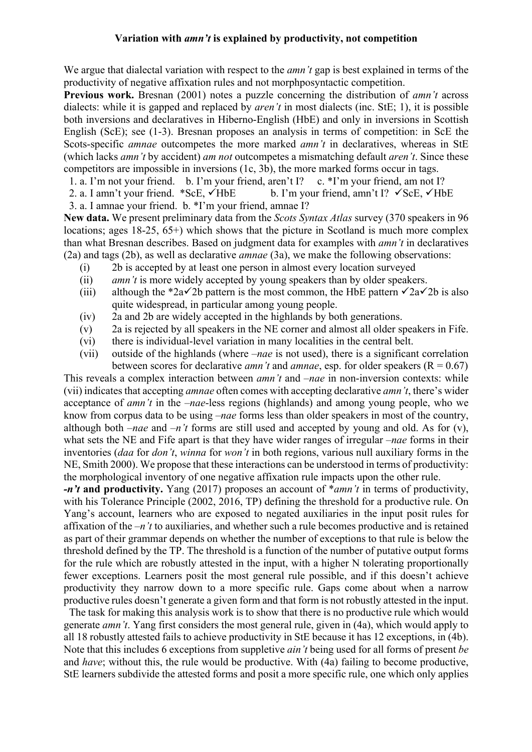## **Variation with** *amn't* **is explained by productivity, not competition**

We argue that dialectal variation with respect to the *amn't* gap is best explained in terms of the productivity of negative affixation rules and not morphposyntactic competition.

**Previous work.** Bresnan (2001) notes a puzzle concerning the distribution of *amn't* across dialects: while it is gapped and replaced by *aren't* in most dialects (inc. StE; 1), it is possible both inversions and declaratives in Hiberno-English (HbE) and only in inversions in Scottish English (ScE); see (1-3). Bresnan proposes an analysis in terms of competition: in ScE the Scots-specific *amnae* outcompetes the more marked *amn't* in declaratives, whereas in StE (which lacks *amn't* by accident) *am not* outcompetes a mismatching default *aren't*. Since these competitors are impossible in inversions (1c, 3b), the more marked forms occur in tags.

1. a. I'm not your friend. b. I'm your friend, aren't I? c. \*I'm your friend, am not I?

2. a. I amn't your friend. \*ScE,  $\checkmark$ HbE b. I'm your friend, amn't I?  $\checkmark$ ScE,  $\checkmark$ HbE

3. a. I amnae your friend. b. \*I'm your friend, amnae I?

**New data.** We present preliminary data from the *Scots Syntax Atlas* survey (370 speakers in 96 locations; ages 18-25, 65+) which shows that the picture in Scotland is much more complex than what Bresnan describes. Based on judgment data for examples with *amn't* in declaratives (2a) and tags (2b), as well as declarative *amnae* (3a), we make the following observations:

- (i) 2b is accepted by at least one person in almost every location surveyed
- (ii) *amn't* is more widely accepted by young speakers than by older speakers.
- (iii) although the \*2a $\checkmark$ 2b pattern is the most common, the HbE pattern  $\checkmark$ 2a $\checkmark$ 2b is also quite widespread, in particular among young people.
- (iv) 2a and 2b are widely accepted in the highlands by both generations.
- (v) 2a is rejected by all speakers in the NE corner and almost all older speakers in Fife.
- (vi) there is individual-level variation in many localities in the central belt.
- (vii) outside of the highlands (where –*nae* is not used), there is a significant correlation between scores for declarative *amn't* and *amnae*, esp. for older speakers ( $R = 0.67$ )

This reveals a complex interaction between *amn't* and –*nae* in non-inversion contexts: while (vii) indicates that accepting *amnae* often comes with accepting declarative *amn't*, there's wider acceptance of *amn't* in the –*nae*-less regions (highlands) and among young people, who we know from corpus data to be using –*nae* forms less than older speakers in most of the country, although both –*nae* and *–n't* forms are still used and accepted by young and old. As for (v), what sets the NE and Fife apart is that they have wider ranges of irregular –*nae* forms in their inventories (*daa* for *don't*, *winna* for *won't* in both regions, various null auxiliary forms in the NE, Smith 2000). We propose that these interactions can be understood in terms of productivity: the morphological inventory of one negative affixation rule impacts upon the other rule.

*-n't* **and productivity.** Yang (2017) proposes an account of \**amn't* in terms of productivity, with his Tolerance Principle (2002, 2016, TP) defining the threshold for a productive rule. On Yang's account, learners who are exposed to negated auxiliaries in the input posit rules for affixation of the –*n't* to auxiliaries, and whether such a rule becomes productive and is retained as part of their grammar depends on whether the number of exceptions to that rule is below the threshold defined by the TP. The threshold is a function of the number of putative output forms for the rule which are robustly attested in the input, with a higher N tolerating proportionally fewer exceptions. Learners posit the most general rule possible, and if this doesn't achieve productivity they narrow down to a more specific rule. Gaps come about when a narrow productive rules doesn't generate a given form and that form is not robustly attested in the input.

 The task for making this analysis work is to show that there is no productive rule which would generate *amn't*. Yang first considers the most general rule, given in (4a), which would apply to all 18 robustly attested fails to achieve productivity in StE because it has 12 exceptions, in (4b). Note that this includes 6 exceptions from suppletive *ain't* being used for all forms of present *be* and *have*; without this, the rule would be productive. With (4a) failing to become productive, StE learners subdivide the attested forms and posit a more specific rule, one which only applies